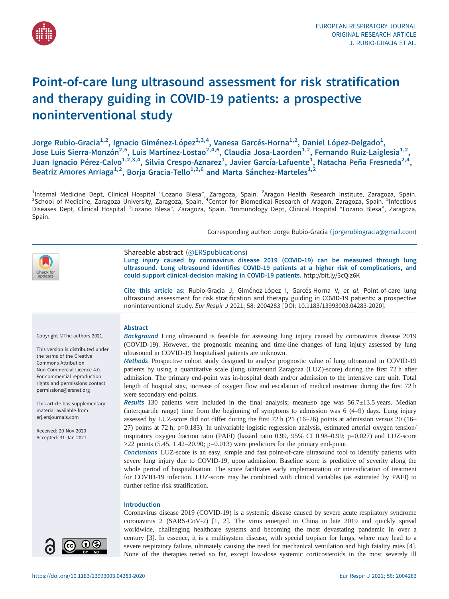

# Point-of-care lung ultrasound assessment for risk stratification and therapy guiding in COVID-19 patients: a prospective noninterventional study

Jorge Rubio-Gracia<sup>1,2</sup>, Ignacio Giménez-López<sup>2,3,4</sup>, Vanesa Garcés-Horna<sup>1,2</sup>, Daniel López-Delgado<sup>1</sup>, Jose Luis Sierra-Monzón<sup>2,5</sup>, Luis Martínez-Lostao<sup>2,4,6</sup>, Claudia Josa-Laorden<sup>1,2</sup>, Fernando Ruiz-Laiglesia<sup>1,2</sup>, Juan Ignacio Pérez-Calvo<sup>1,2,3,4</sup>, Silvia Crespo-Aznarez<sup>1</sup>, Javier García-Lafuente<sup>1</sup>, Natacha Peña Fresneda<sup>2,4</sup>, Beatriz Amores Arriaga<sup>1,2</sup>, Borja Gracia-Tello<sup>1,2,6</sup> and Marta Sánchez-Marteles<sup>1,2</sup>

<sup>1</sup>Internal Medicine Dept, Clinical Hospital "Lozano Blesa", Zaragoza, Spain. <sup>2</sup>Aragon Health Research Institute, Zaragoza, Spain.<br><sup>3</sup>School of Medicine, Zaragoza University, Zaragoza, Spain. <sup>4</sup>Center for Biomedical Rese Diseases Dept, Clinical Hospital "Lozano Blesa", Zaragoza, Spain. <sup>6</sup>Immunology Dept, Clinical Hospital "Lozano Blesa", Zaragoza, Spain.

Corresponding author: Jorge Rubio-Gracia ( [jorgerubiogracia@gmail.com](mailto:jorgerubiogracia@gmail.com))



coronavirus 2 (SARS-CoV-2) [\[1,](#page-7-0) [2\]](#page-8-0). The virus emerged in China in late 2019 and quickly spread worldwide, challenging healthcare systems and becoming the most devastating pandemic in over a century [[3](#page-8-0)]. In essence, it is a multisystem disease, with special tropism for lungs, where may lead to a  $\mathbf{\Theta}(i)$ severe respiratory failure, ultimately causing the need for mechanical ventilation and high fatality rates [\[4\]](#page-8-0). None of the therapies tested so far, except low-dose systemic corticosteroids in the most severely ill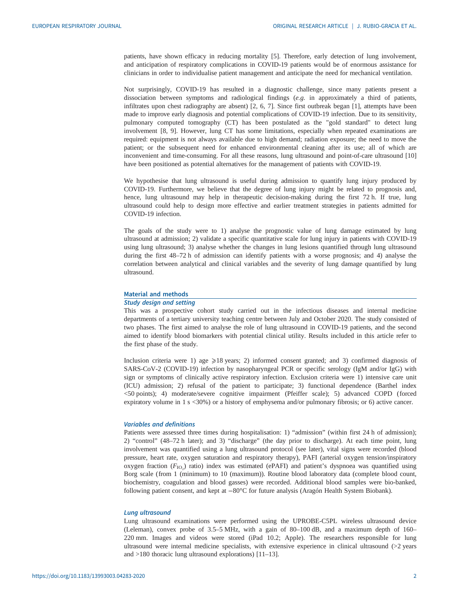patients, have shown efficacy in reducing mortality [[5](#page-8-0)]. Therefore, early detection of lung involvement, and anticipation of respiratory complications in COVID-19 patients would be of enormous assistance for clinicians in order to individualise patient management and anticipate the need for mechanical ventilation.

Not surprisingly, COVID-19 has resulted in a diagnostic challenge, since many patients present a dissociation between symptoms and radiological findings (e.g. in approximately a third of patients, infiltrates upon chest radiography are absent) [\[2, 6, 7\]](#page-8-0). Since first outbreak began [\[1\]](#page-7-0), attempts have been made to improve early diagnosis and potential complications of COVID-19 infection. Due to its sensitivity, pulmonary computed tomography (CT) has been postulated as the "gold standard" to detect lung involvement [[8](#page-8-0), [9\]](#page-8-0). However, lung CT has some limitations, especially when repeated examinations are required: equipment is not always available due to high demand; radiation exposure; the need to move the patient; or the subsequent need for enhanced environmental cleaning after its use; all of which are inconvenient and time-consuming. For all these reasons, lung ultrasound and point-of-care ultrasound [[10\]](#page-8-0) have been positioned as potential alternatives for the management of patients with COVID-19.

We hypothesise that lung ultrasound is useful during admission to quantify lung injury produced by COVID-19. Furthermore, we believe that the degree of lung injury might be related to prognosis and, hence, lung ultrasound may help in therapeutic decision-making during the first 72 h. If true, lung ultrasound could help to design more effective and earlier treatment strategies in patients admitted for COVID-19 infection.

The goals of the study were to 1) analyse the prognostic value of lung damage estimated by lung ultrasound at admission; 2) validate a specific quantitative scale for lung injury in patients with COVID-19 using lung ultrasound; 3) analyse whether the changes in lung lesions quantified through lung ultrasound during the first 48–72 h of admission can identify patients with a worse prognosis; and 4) analyse the correlation between analytical and clinical variables and the severity of lung damage quantified by lung ultrasound.

# Material and methods

#### Study design and setting

This was a prospective cohort study carried out in the infectious diseases and internal medicine departments of a tertiary university teaching centre between July and October 2020. The study consisted of two phases. The first aimed to analyse the role of lung ultrasound in COVID-19 patients, and the second aimed to identify blood biomarkers with potential clinical utility. Results included in this article refer to the first phase of the study.

Inclusion criteria were 1) age  $\geq$ 18 years; 2) informed consent granted; and 3) confirmed diagnosis of SARS-CoV-2 (COVID-19) infection by nasopharyngeal PCR or specific serology (IgM and/or IgG) with sign or symptoms of clinically active respiratory infection. Exclusion criteria were 1) intensive care unit (ICU) admission; 2) refusal of the patient to participate; 3) functional dependence (Barthel index <50 points); 4) moderate/severe cognitive impairment (Pfeiffer scale); 5) advanced COPD (forced expiratory volume in 1 s <30%) or a history of emphysema and/or pulmonary fibrosis; or 6) active cancer.

# Variables and definitions

Patients were assessed three times during hospitalisation: 1) "admission" (within first 24 h of admission); 2) "control" (48–72 h later); and 3) "discharge" (the day prior to discharge). At each time point, lung involvement was quantified using a lung ultrasound protocol (see later), vital signs were recorded (blood pressure, heart rate, oxygen saturation and respiratory therapy), PAFI (arterial oxygen tension/inspiratory oxygen fraction ( $F_{\text{IO}_2}$ ) ratio) index was estimated (ePAFI) and patient's dyspnoea was quantified using<br>Borg scale (from 1 (minimum) to 10 (maximum)). Boutine blood laboratory data (complete blood count Borg scale (from 1 (minimum) to 10 (maximum)). Routine blood laboratory data (complete blood count, biochemistry, coagulation and blood gasses) were recorded. Additional blood samples were bio-banked, following patient consent, and kept at −80°C for future analysis (Aragón Health System Biobank).

#### Lung ultrasound

Lung ultrasound examinations were performed using the UPROBE-C5PL wireless ultrasound device (Leleman), convex probe of 3.5–5 MHz, with a gain of 80–100 dB, and a maximum depth of 160– 220 mm. Images and videos were stored (iPad 10.2; Apple). The researchers responsible for lung ultrasound were internal medicine specialists, with extensive experience in clinical ultrasound (>2 years and >180 thoracic lung ultrasound explorations) [\[11](#page-8-0)–[13](#page-8-0)].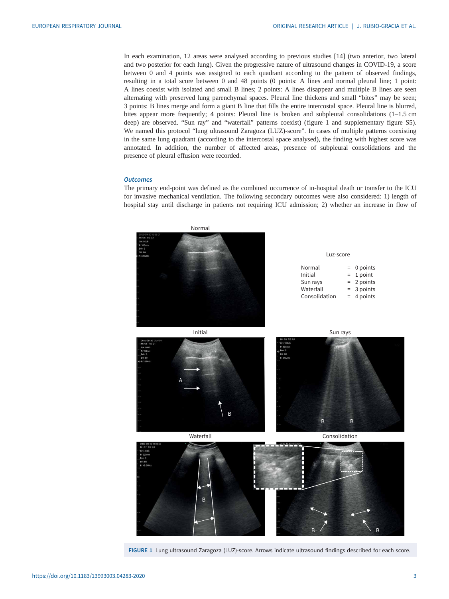In each examination, 12 areas were analysed according to previous studies [\[14](#page-8-0)] (two anterior, two lateral and two posterior for each lung). Given the progressive nature of ultrasound changes in COVID-19, a score between 0 and 4 points was assigned to each quadrant according to the pattern of observed findings, resulting in a total score between 0 and 48 points (0 points: A lines and normal pleural line; 1 point: A lines coexist with isolated and small B lines; 2 points: A lines disappear and multiple B lines are seen alternating with preserved lung parenchymal spaces. Pleural line thickens and small "bites" may be seen; 3 points: B lines merge and form a giant B line that fills the entire intercostal space. Pleural line is blurred, bites appear more frequently; 4 points: Pleural line is broken and subpleural consolidations (1-1.5 cm deep) are observed. "Sun ray" and "waterfall" patterns coexist) (figure 1 and [supplementary figure S5\)](http://erj.ersjournals.com/lookup/doi/10.1183/13993003.04283-2020.figures-only#fig-data-supplementary-materials). We named this protocol "lung ultrasound Zaragoza (LUZ)-score". In cases of multiple patterns coexisting in the same lung quadrant (according to the intercostal space analysed), the finding with highest score was annotated. In addition, the number of affected areas, presence of subpleural consolidations and the presence of pleural effusion were recorded.

# **Outcomes**

The primary end-point was defined as the combined occurrence of in-hospital death or transfer to the ICU for invasive mechanical ventilation. The following secondary outcomes were also considered: 1) length of hospital stay until discharge in patients not requiring ICU admission; 2) whether an increase in flow of



FIGURE 1 Lung ultrasound Zaragoza (LUZ)-score. Arrows indicate ultrasound findings described for each score.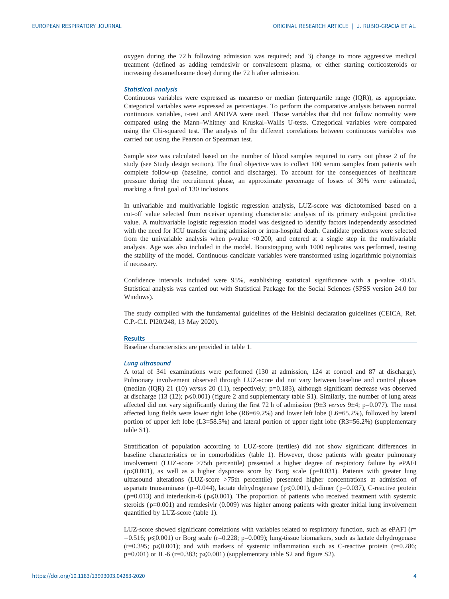oxygen during the 72 h following admission was required; and 3) change to more aggressive medical treatment (defined as adding remdesivir or convalescent plasma, or either starting corticosteroids or increasing dexamethasone dose) during the 72 h after admission.

#### Statistical analysis

Continuous variables were expressed as mean±sp or median (interquartile range (IQR)), as appropriate. Categorical variables were expressed as percentages. To perform the comparative analysis between normal continuous variables, t-test and ANOVA were used. Those variables that did not follow normality were compared using the Mann–Whitney and Kruskal–Wallis U-tests. Categorical variables were compared using the Chi-squared test. The analysis of the different correlations between continuous variables was carried out using the Pearson or Spearman test.

Sample size was calculated based on the number of blood samples required to carry out phase 2 of the study (see Study design section). The final objective was to collect 100 serum samples from patients with complete follow-up (baseline, control and discharge). To account for the consequences of healthcare pressure during the recruitment phase, an approximate percentage of losses of 30% were estimated, marking a final goal of 130 inclusions.

In univariable and multivariable logistic regression analysis, LUZ-score was dichotomised based on a cut-off value selected from receiver operating characteristic analysis of its primary end-point predictive value. A multivariable logistic regression model was designed to identify factors independently associated with the need for ICU transfer during admission or intra-hospital death. Candidate predictors were selected from the univariable analysis when p-value <0.200, and entered at a single step in the multivariable analysis. Age was also included in the model. Bootstrapping with 1000 replicates was performed, testing the stability of the model. Continuous candidate variables were transformed using logarithmic polynomials if necessary.

Confidence intervals included were 95%, establishing statistical significance with a p-value <0.05. Statistical analysis was carried out with Statistical Package for the Social Sciences (SPSS version 24.0 for Windows).

The study complied with the fundamental guidelines of the Helsinki declaration guidelines (CEICA, Ref. C.P.-C.I. PI20/248, 13 May 2020).

#### Results

Baseline characteristics are provided in [table 1.](#page-4-0)

#### Lung ultrasound

A total of 341 examinations were performed (130 at admission, 124 at control and 87 at discharge). Pulmonary involvement observed through LUZ-score did not vary between baseline and control phases (median (IQR) 21 (10) versus 20 (11), respectively; p=0.183), although significant decrease was observed at discharge (13 (12); p≤0.001) [\(figure 2](#page-5-0) and [supplementary table S1\)](http://erj.ersjournals.com/lookup/doi/10.1183/13993003.04283-2020.figures-only#fig-data-supplementary-materials). Similarly, the number of lung areas affected did not vary significantly during the first 72 h of admission  $(9\pm 3 \text{ versus } 9\pm 4; \text{ p}=0.077)$ . The most affected lung fields were lower right lobe (R6=69.2%) and lower left lobe (L6=65.2%), followed by lateral portion of upper left lobe (L3=58.5%) and lateral portion of upper right lobe (R3=56.2%) [\(supplementary](http://erj.ersjournals.com/lookup/doi/10.1183/13993003.04283-2020.figures-only#fig-data-supplementary-materials) [table S1\)](http://erj.ersjournals.com/lookup/doi/10.1183/13993003.04283-2020.figures-only#fig-data-supplementary-materials).

Stratification of population according to LUZ-score (tertiles) did not show significant differences in baseline characteristics or in comorbidities [\(table 1\)](#page-4-0). However, those patients with greater pulmonary involvement (LUZ-score >75th percentile) presented a higher degree of respiratory failure by ePAFI  $(p \le 0.001)$ , as well as a higher dyspnoea score by Borg scale ( $p=0.031$ ). Patients with greater lung ultrasound alterations (LUZ-score >75th percentile) presented higher concentrations at admission of aspartate transaminase (p=0.044), lactate dehydrogenase (p≤0.001), d-dimer (p=0.037), C-reactive protein  $(p=0.013)$  and interleukin-6 ( $p\leq 0.001$ ). The proportion of patients who received treatment with systemic steroids ( $p=0.001$ ) and remdesivir (0.009) was higher among patients with greater initial lung involvement quantified by LUZ-score [\(table 1\)](#page-4-0).

LUZ-score showed significant correlations with variables related to respiratory function, such as ePAFI ( $r=$ −0.516; p⩽0.001) or Borg scale (r=0.228; p=0.009); lung-tissue biomarkers, such as lactate dehydrogenase  $(r=0.395; p\leq 0.001)$ ; and with markers of systemic inflammation such as C-reactive protein (r=0.286;  $p=0.001$ ) or IL-6 (r=0.383;  $p\leq 0.001$ ) ([supplementary table S2 and figure S2](http://erj.ersjournals.com/lookup/doi/10.1183/13993003.04283-2020.figures-only#fig-data-supplementary-materials)).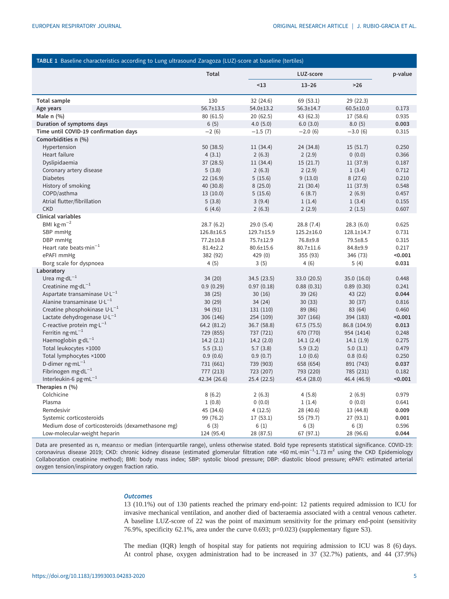<span id="page-4-0"></span>

| Total<br>LUZ-score<br>p-value<br>< 13<br>$13 - 26$<br>$>26$<br>130<br><b>Total sample</b><br>32 (24.6)<br>69(53.1)<br>29 (22.3)<br>56.7±13.5<br>54.0±13.2<br>56.3±14.7<br>Age years<br>$60.5 \pm 10.0$<br>0.173<br>Male $n$ $(\%)$<br>0.935<br>80(61.5)<br>20(62.5)<br>43 (62.3)<br>17 (58.6)<br>Duration of symptoms days<br>6(5)<br>4.0(5.0)<br>6.0(3.0)<br>8.0(5)<br>0.003<br>Time until COVID-19 confirmation days<br>$-2(6)$<br>$-1.5(7)$<br>$-2.0(6)$<br>$-3.0(6)$<br>0.315<br>Comorbidities n (%)<br>Hypertension<br>50 (38.5)<br>11 (34.4)<br>24 (34.8)<br>15(51.7)<br>0.250<br>Heart failure<br>2(6.3)<br>0(0.0)<br>4(3.1)<br>2(2.9)<br>0.366<br>Dyslipidaemia<br>15(21.7)<br>37(28.5)<br>11(34.4)<br>11 (37.9)<br>0.187<br>2(6.3)<br>2(2.9)<br>0.712<br>Coronary artery disease<br>5(3.8)<br>1(3.4)<br><b>Diabetes</b><br>5(15.6)<br>9(13.0)<br>8(27.6)<br>0.210<br>22(16.9)<br>History of smoking<br>40 (30.8)<br>8(25.0)<br>21(30.4)<br>11 (37.9)<br>0.548<br>COPD/asthma<br>13(10.0)<br>5(15.6)<br>6(8.7)<br>2(6.9)<br>0.457<br>Atrial flutter/fibrillation<br>1(1.4)<br>1(3.4)<br>0.155<br>5(3.8)<br>3(9.4)<br><b>CKD</b><br>6(4.6)<br>2(6.3)<br>2(2.9)<br>2(1.5)<br>0.607<br><b>Clinical variables</b><br>BMI $kg·m^{-2}$<br>28.7(6.2)<br>29.0(5.4)<br>28.8(7.4)<br>28.3(6.0)<br>0.625<br>SBP mmHg<br>126.8±16.5<br>129.7±15.9<br>$125.2 \pm 16.0$<br>128.1±14.7<br>0.731<br>DBP mmHg<br>77.2±10.8<br>75.7±12.9<br>76.8±9.8<br>79.5±8.5<br>0.315<br>Heart rate beats $min^{-1}$<br>80.7±11.6<br>0.217<br>$81.4 \pm 2.2$<br>80.6±15.6<br>84.8±9.9<br>ePAFI mmHg<br>382 (92)<br>429 (0)<br>355 (93)<br>346 (73)<br>< 0.001<br>4(5)<br>5(4)<br>Borg scale for dyspnoea<br>3(5)<br>4(6)<br>0.031<br>Laboratory<br>Urea mg·d $L^{-1}$<br>34 (20)<br>34.5 (23.5)<br>33.0 (20.5)<br>35.0(16.0)<br>0.448<br>Creatinine $mg \cdot dL^{-1}$<br>0.97(0.18)<br>0.9(0.29)<br>0.88(0.31)<br>0.89(0.30)<br>0.241<br>Aspartate transaminase U·L <sup>-1</sup><br>38(25)<br>30(16)<br>43 (22)<br>0.044<br>39(26)<br>Alanine transaminase $U \cdot L^{-1}$<br>30(29)<br>34 (24)<br>30(37)<br>30(33)<br>0.816<br>Creatine phosphokinase $U \cdot L^{-1}$<br>94 (91)<br>89 (86)<br>83 (64)<br>0.460<br>131 (110)<br>Lactate dehydrogenase U·L <sup>-1</sup><br>306 (146)<br>254 (109)<br>307 (166)<br>394 (183)<br>< 0.001<br>C-reactive protein mg $\cdot L^{-1}$<br>64.2 (81.2)<br>36.7 (58.8)<br>67.5 (75.5)<br>86.8 (104.9)<br>0.013<br>Ferritin $ng·mL^{-1}$<br>729 (855)<br>737 (721)<br>670 (770)<br>954 (1414)<br>0.248<br>Haemoglobin $g \cdot dL^{-1}$<br>0.275<br>14.2(2.1)<br>14.2(2.0)<br>14.1(2.4)<br>14.1(1.9)<br>Total leukocytes ×1000<br>5.9(3.2)<br>0.479<br>5.5(3.1)<br>5.7(3.8)<br>5.0(3.1)<br>Total lymphocytes ×1000<br>0.9(0.6)<br>0.9(0.7)<br>1.0(0.6)<br>0.8(0.6)<br>0.250<br>D-dimer $n$ g·m $L^{-1}$<br>731 (661)<br>739 (903)<br>658 (654)<br>891 (743)<br>0.037<br>Fibrinogen mg·d $L^{-1}$<br>777 (213)<br>723 (207)<br>793 (220)<br>785 (231)<br>0.182<br>Interleukin-6 pg·mL <sup>-1</sup><br>42.34 (26.6)<br>25.4(22.5)<br>45.4 (28.0)<br>46.4 (46.9)<br>< 0.001<br>Therapies n (%)<br>Colchicine<br>8(6.2)<br>2(6.3)<br>4(5.8)<br>2(6.9)<br>0.979<br>0(0.0)<br>Plasma<br>1(0.8)<br>0(0.0)<br>1(1.4)<br>0.641<br>Remdesivir<br>45 (34.6)<br>4(12.5)<br>28 (40.6)<br>13 (44.8)<br>0.009<br>Systemic corticosteroids<br>99 (76.2)<br>17(53.1)<br>55 (79.7)<br>27 (93.1)<br>0.001<br>Medium dose of corticosteroids (dexamethasone mg)<br>6(3)<br>6(3)<br>6(3)<br>0.596<br>6(1) | TABLE 1 Baseline characteristics according to Lung ultrasound Zaragoza (LUZ)-score at baseline (tertiles) |            |           |           |           |       |  |
|-----------------------------------------------------------------------------------------------------------------------------------------------------------------------------------------------------------------------------------------------------------------------------------------------------------------------------------------------------------------------------------------------------------------------------------------------------------------------------------------------------------------------------------------------------------------------------------------------------------------------------------------------------------------------------------------------------------------------------------------------------------------------------------------------------------------------------------------------------------------------------------------------------------------------------------------------------------------------------------------------------------------------------------------------------------------------------------------------------------------------------------------------------------------------------------------------------------------------------------------------------------------------------------------------------------------------------------------------------------------------------------------------------------------------------------------------------------------------------------------------------------------------------------------------------------------------------------------------------------------------------------------------------------------------------------------------------------------------------------------------------------------------------------------------------------------------------------------------------------------------------------------------------------------------------------------------------------------------------------------------------------------------------------------------------------------------------------------------------------------------------------------------------------------------------------------------------------------------------------------------------------------------------------------------------------------------------------------------------------------------------------------------------------------------------------------------------------------------------------------------------------------------------------------------------------------------------------------------------------------------------------------------------------------------------------------------------------------------------------------------------------------------------------------------------------------------------------------------------------------------------------------------------------------------------------------------------------------------------------------------------------------------------------------------------------------------------------------------------------------------------------------------------------------------------------------------------------------------------------------------------------------------------------------------------------------------------------------------------------------------------------------------------------------------------------------------------------------------------------------------------------|-----------------------------------------------------------------------------------------------------------|------------|-----------|-----------|-----------|-------|--|
|                                                                                                                                                                                                                                                                                                                                                                                                                                                                                                                                                                                                                                                                                                                                                                                                                                                                                                                                                                                                                                                                                                                                                                                                                                                                                                                                                                                                                                                                                                                                                                                                                                                                                                                                                                                                                                                                                                                                                                                                                                                                                                                                                                                                                                                                                                                                                                                                                                                                                                                                                                                                                                                                                                                                                                                                                                                                                                                                                                                                                                                                                                                                                                                                                                                                                                                                                                                                                                                                                                           |                                                                                                           |            |           |           |           |       |  |
|                                                                                                                                                                                                                                                                                                                                                                                                                                                                                                                                                                                                                                                                                                                                                                                                                                                                                                                                                                                                                                                                                                                                                                                                                                                                                                                                                                                                                                                                                                                                                                                                                                                                                                                                                                                                                                                                                                                                                                                                                                                                                                                                                                                                                                                                                                                                                                                                                                                                                                                                                                                                                                                                                                                                                                                                                                                                                                                                                                                                                                                                                                                                                                                                                                                                                                                                                                                                                                                                                                           |                                                                                                           |            |           |           |           |       |  |
|                                                                                                                                                                                                                                                                                                                                                                                                                                                                                                                                                                                                                                                                                                                                                                                                                                                                                                                                                                                                                                                                                                                                                                                                                                                                                                                                                                                                                                                                                                                                                                                                                                                                                                                                                                                                                                                                                                                                                                                                                                                                                                                                                                                                                                                                                                                                                                                                                                                                                                                                                                                                                                                                                                                                                                                                                                                                                                                                                                                                                                                                                                                                                                                                                                                                                                                                                                                                                                                                                                           |                                                                                                           |            |           |           |           |       |  |
|                                                                                                                                                                                                                                                                                                                                                                                                                                                                                                                                                                                                                                                                                                                                                                                                                                                                                                                                                                                                                                                                                                                                                                                                                                                                                                                                                                                                                                                                                                                                                                                                                                                                                                                                                                                                                                                                                                                                                                                                                                                                                                                                                                                                                                                                                                                                                                                                                                                                                                                                                                                                                                                                                                                                                                                                                                                                                                                                                                                                                                                                                                                                                                                                                                                                                                                                                                                                                                                                                                           |                                                                                                           |            |           |           |           |       |  |
|                                                                                                                                                                                                                                                                                                                                                                                                                                                                                                                                                                                                                                                                                                                                                                                                                                                                                                                                                                                                                                                                                                                                                                                                                                                                                                                                                                                                                                                                                                                                                                                                                                                                                                                                                                                                                                                                                                                                                                                                                                                                                                                                                                                                                                                                                                                                                                                                                                                                                                                                                                                                                                                                                                                                                                                                                                                                                                                                                                                                                                                                                                                                                                                                                                                                                                                                                                                                                                                                                                           |                                                                                                           |            |           |           |           |       |  |
|                                                                                                                                                                                                                                                                                                                                                                                                                                                                                                                                                                                                                                                                                                                                                                                                                                                                                                                                                                                                                                                                                                                                                                                                                                                                                                                                                                                                                                                                                                                                                                                                                                                                                                                                                                                                                                                                                                                                                                                                                                                                                                                                                                                                                                                                                                                                                                                                                                                                                                                                                                                                                                                                                                                                                                                                                                                                                                                                                                                                                                                                                                                                                                                                                                                                                                                                                                                                                                                                                                           |                                                                                                           |            |           |           |           |       |  |
|                                                                                                                                                                                                                                                                                                                                                                                                                                                                                                                                                                                                                                                                                                                                                                                                                                                                                                                                                                                                                                                                                                                                                                                                                                                                                                                                                                                                                                                                                                                                                                                                                                                                                                                                                                                                                                                                                                                                                                                                                                                                                                                                                                                                                                                                                                                                                                                                                                                                                                                                                                                                                                                                                                                                                                                                                                                                                                                                                                                                                                                                                                                                                                                                                                                                                                                                                                                                                                                                                                           |                                                                                                           |            |           |           |           |       |  |
|                                                                                                                                                                                                                                                                                                                                                                                                                                                                                                                                                                                                                                                                                                                                                                                                                                                                                                                                                                                                                                                                                                                                                                                                                                                                                                                                                                                                                                                                                                                                                                                                                                                                                                                                                                                                                                                                                                                                                                                                                                                                                                                                                                                                                                                                                                                                                                                                                                                                                                                                                                                                                                                                                                                                                                                                                                                                                                                                                                                                                                                                                                                                                                                                                                                                                                                                                                                                                                                                                                           |                                                                                                           |            |           |           |           |       |  |
|                                                                                                                                                                                                                                                                                                                                                                                                                                                                                                                                                                                                                                                                                                                                                                                                                                                                                                                                                                                                                                                                                                                                                                                                                                                                                                                                                                                                                                                                                                                                                                                                                                                                                                                                                                                                                                                                                                                                                                                                                                                                                                                                                                                                                                                                                                                                                                                                                                                                                                                                                                                                                                                                                                                                                                                                                                                                                                                                                                                                                                                                                                                                                                                                                                                                                                                                                                                                                                                                                                           |                                                                                                           |            |           |           |           |       |  |
|                                                                                                                                                                                                                                                                                                                                                                                                                                                                                                                                                                                                                                                                                                                                                                                                                                                                                                                                                                                                                                                                                                                                                                                                                                                                                                                                                                                                                                                                                                                                                                                                                                                                                                                                                                                                                                                                                                                                                                                                                                                                                                                                                                                                                                                                                                                                                                                                                                                                                                                                                                                                                                                                                                                                                                                                                                                                                                                                                                                                                                                                                                                                                                                                                                                                                                                                                                                                                                                                                                           |                                                                                                           |            |           |           |           |       |  |
|                                                                                                                                                                                                                                                                                                                                                                                                                                                                                                                                                                                                                                                                                                                                                                                                                                                                                                                                                                                                                                                                                                                                                                                                                                                                                                                                                                                                                                                                                                                                                                                                                                                                                                                                                                                                                                                                                                                                                                                                                                                                                                                                                                                                                                                                                                                                                                                                                                                                                                                                                                                                                                                                                                                                                                                                                                                                                                                                                                                                                                                                                                                                                                                                                                                                                                                                                                                                                                                                                                           |                                                                                                           |            |           |           |           |       |  |
|                                                                                                                                                                                                                                                                                                                                                                                                                                                                                                                                                                                                                                                                                                                                                                                                                                                                                                                                                                                                                                                                                                                                                                                                                                                                                                                                                                                                                                                                                                                                                                                                                                                                                                                                                                                                                                                                                                                                                                                                                                                                                                                                                                                                                                                                                                                                                                                                                                                                                                                                                                                                                                                                                                                                                                                                                                                                                                                                                                                                                                                                                                                                                                                                                                                                                                                                                                                                                                                                                                           |                                                                                                           |            |           |           |           |       |  |
|                                                                                                                                                                                                                                                                                                                                                                                                                                                                                                                                                                                                                                                                                                                                                                                                                                                                                                                                                                                                                                                                                                                                                                                                                                                                                                                                                                                                                                                                                                                                                                                                                                                                                                                                                                                                                                                                                                                                                                                                                                                                                                                                                                                                                                                                                                                                                                                                                                                                                                                                                                                                                                                                                                                                                                                                                                                                                                                                                                                                                                                                                                                                                                                                                                                                                                                                                                                                                                                                                                           |                                                                                                           |            |           |           |           |       |  |
|                                                                                                                                                                                                                                                                                                                                                                                                                                                                                                                                                                                                                                                                                                                                                                                                                                                                                                                                                                                                                                                                                                                                                                                                                                                                                                                                                                                                                                                                                                                                                                                                                                                                                                                                                                                                                                                                                                                                                                                                                                                                                                                                                                                                                                                                                                                                                                                                                                                                                                                                                                                                                                                                                                                                                                                                                                                                                                                                                                                                                                                                                                                                                                                                                                                                                                                                                                                                                                                                                                           |                                                                                                           |            |           |           |           |       |  |
|                                                                                                                                                                                                                                                                                                                                                                                                                                                                                                                                                                                                                                                                                                                                                                                                                                                                                                                                                                                                                                                                                                                                                                                                                                                                                                                                                                                                                                                                                                                                                                                                                                                                                                                                                                                                                                                                                                                                                                                                                                                                                                                                                                                                                                                                                                                                                                                                                                                                                                                                                                                                                                                                                                                                                                                                                                                                                                                                                                                                                                                                                                                                                                                                                                                                                                                                                                                                                                                                                                           |                                                                                                           |            |           |           |           |       |  |
|                                                                                                                                                                                                                                                                                                                                                                                                                                                                                                                                                                                                                                                                                                                                                                                                                                                                                                                                                                                                                                                                                                                                                                                                                                                                                                                                                                                                                                                                                                                                                                                                                                                                                                                                                                                                                                                                                                                                                                                                                                                                                                                                                                                                                                                                                                                                                                                                                                                                                                                                                                                                                                                                                                                                                                                                                                                                                                                                                                                                                                                                                                                                                                                                                                                                                                                                                                                                                                                                                                           |                                                                                                           |            |           |           |           |       |  |
|                                                                                                                                                                                                                                                                                                                                                                                                                                                                                                                                                                                                                                                                                                                                                                                                                                                                                                                                                                                                                                                                                                                                                                                                                                                                                                                                                                                                                                                                                                                                                                                                                                                                                                                                                                                                                                                                                                                                                                                                                                                                                                                                                                                                                                                                                                                                                                                                                                                                                                                                                                                                                                                                                                                                                                                                                                                                                                                                                                                                                                                                                                                                                                                                                                                                                                                                                                                                                                                                                                           |                                                                                                           |            |           |           |           |       |  |
|                                                                                                                                                                                                                                                                                                                                                                                                                                                                                                                                                                                                                                                                                                                                                                                                                                                                                                                                                                                                                                                                                                                                                                                                                                                                                                                                                                                                                                                                                                                                                                                                                                                                                                                                                                                                                                                                                                                                                                                                                                                                                                                                                                                                                                                                                                                                                                                                                                                                                                                                                                                                                                                                                                                                                                                                                                                                                                                                                                                                                                                                                                                                                                                                                                                                                                                                                                                                                                                                                                           |                                                                                                           |            |           |           |           |       |  |
|                                                                                                                                                                                                                                                                                                                                                                                                                                                                                                                                                                                                                                                                                                                                                                                                                                                                                                                                                                                                                                                                                                                                                                                                                                                                                                                                                                                                                                                                                                                                                                                                                                                                                                                                                                                                                                                                                                                                                                                                                                                                                                                                                                                                                                                                                                                                                                                                                                                                                                                                                                                                                                                                                                                                                                                                                                                                                                                                                                                                                                                                                                                                                                                                                                                                                                                                                                                                                                                                                                           |                                                                                                           |            |           |           |           |       |  |
|                                                                                                                                                                                                                                                                                                                                                                                                                                                                                                                                                                                                                                                                                                                                                                                                                                                                                                                                                                                                                                                                                                                                                                                                                                                                                                                                                                                                                                                                                                                                                                                                                                                                                                                                                                                                                                                                                                                                                                                                                                                                                                                                                                                                                                                                                                                                                                                                                                                                                                                                                                                                                                                                                                                                                                                                                                                                                                                                                                                                                                                                                                                                                                                                                                                                                                                                                                                                                                                                                                           |                                                                                                           |            |           |           |           |       |  |
|                                                                                                                                                                                                                                                                                                                                                                                                                                                                                                                                                                                                                                                                                                                                                                                                                                                                                                                                                                                                                                                                                                                                                                                                                                                                                                                                                                                                                                                                                                                                                                                                                                                                                                                                                                                                                                                                                                                                                                                                                                                                                                                                                                                                                                                                                                                                                                                                                                                                                                                                                                                                                                                                                                                                                                                                                                                                                                                                                                                                                                                                                                                                                                                                                                                                                                                                                                                                                                                                                                           |                                                                                                           |            |           |           |           |       |  |
|                                                                                                                                                                                                                                                                                                                                                                                                                                                                                                                                                                                                                                                                                                                                                                                                                                                                                                                                                                                                                                                                                                                                                                                                                                                                                                                                                                                                                                                                                                                                                                                                                                                                                                                                                                                                                                                                                                                                                                                                                                                                                                                                                                                                                                                                                                                                                                                                                                                                                                                                                                                                                                                                                                                                                                                                                                                                                                                                                                                                                                                                                                                                                                                                                                                                                                                                                                                                                                                                                                           |                                                                                                           |            |           |           |           |       |  |
|                                                                                                                                                                                                                                                                                                                                                                                                                                                                                                                                                                                                                                                                                                                                                                                                                                                                                                                                                                                                                                                                                                                                                                                                                                                                                                                                                                                                                                                                                                                                                                                                                                                                                                                                                                                                                                                                                                                                                                                                                                                                                                                                                                                                                                                                                                                                                                                                                                                                                                                                                                                                                                                                                                                                                                                                                                                                                                                                                                                                                                                                                                                                                                                                                                                                                                                                                                                                                                                                                                           |                                                                                                           |            |           |           |           |       |  |
|                                                                                                                                                                                                                                                                                                                                                                                                                                                                                                                                                                                                                                                                                                                                                                                                                                                                                                                                                                                                                                                                                                                                                                                                                                                                                                                                                                                                                                                                                                                                                                                                                                                                                                                                                                                                                                                                                                                                                                                                                                                                                                                                                                                                                                                                                                                                                                                                                                                                                                                                                                                                                                                                                                                                                                                                                                                                                                                                                                                                                                                                                                                                                                                                                                                                                                                                                                                                                                                                                                           |                                                                                                           |            |           |           |           |       |  |
|                                                                                                                                                                                                                                                                                                                                                                                                                                                                                                                                                                                                                                                                                                                                                                                                                                                                                                                                                                                                                                                                                                                                                                                                                                                                                                                                                                                                                                                                                                                                                                                                                                                                                                                                                                                                                                                                                                                                                                                                                                                                                                                                                                                                                                                                                                                                                                                                                                                                                                                                                                                                                                                                                                                                                                                                                                                                                                                                                                                                                                                                                                                                                                                                                                                                                                                                                                                                                                                                                                           |                                                                                                           |            |           |           |           |       |  |
|                                                                                                                                                                                                                                                                                                                                                                                                                                                                                                                                                                                                                                                                                                                                                                                                                                                                                                                                                                                                                                                                                                                                                                                                                                                                                                                                                                                                                                                                                                                                                                                                                                                                                                                                                                                                                                                                                                                                                                                                                                                                                                                                                                                                                                                                                                                                                                                                                                                                                                                                                                                                                                                                                                                                                                                                                                                                                                                                                                                                                                                                                                                                                                                                                                                                                                                                                                                                                                                                                                           |                                                                                                           |            |           |           |           |       |  |
|                                                                                                                                                                                                                                                                                                                                                                                                                                                                                                                                                                                                                                                                                                                                                                                                                                                                                                                                                                                                                                                                                                                                                                                                                                                                                                                                                                                                                                                                                                                                                                                                                                                                                                                                                                                                                                                                                                                                                                                                                                                                                                                                                                                                                                                                                                                                                                                                                                                                                                                                                                                                                                                                                                                                                                                                                                                                                                                                                                                                                                                                                                                                                                                                                                                                                                                                                                                                                                                                                                           |                                                                                                           |            |           |           |           |       |  |
|                                                                                                                                                                                                                                                                                                                                                                                                                                                                                                                                                                                                                                                                                                                                                                                                                                                                                                                                                                                                                                                                                                                                                                                                                                                                                                                                                                                                                                                                                                                                                                                                                                                                                                                                                                                                                                                                                                                                                                                                                                                                                                                                                                                                                                                                                                                                                                                                                                                                                                                                                                                                                                                                                                                                                                                                                                                                                                                                                                                                                                                                                                                                                                                                                                                                                                                                                                                                                                                                                                           |                                                                                                           |            |           |           |           |       |  |
|                                                                                                                                                                                                                                                                                                                                                                                                                                                                                                                                                                                                                                                                                                                                                                                                                                                                                                                                                                                                                                                                                                                                                                                                                                                                                                                                                                                                                                                                                                                                                                                                                                                                                                                                                                                                                                                                                                                                                                                                                                                                                                                                                                                                                                                                                                                                                                                                                                                                                                                                                                                                                                                                                                                                                                                                                                                                                                                                                                                                                                                                                                                                                                                                                                                                                                                                                                                                                                                                                                           |                                                                                                           |            |           |           |           |       |  |
|                                                                                                                                                                                                                                                                                                                                                                                                                                                                                                                                                                                                                                                                                                                                                                                                                                                                                                                                                                                                                                                                                                                                                                                                                                                                                                                                                                                                                                                                                                                                                                                                                                                                                                                                                                                                                                                                                                                                                                                                                                                                                                                                                                                                                                                                                                                                                                                                                                                                                                                                                                                                                                                                                                                                                                                                                                                                                                                                                                                                                                                                                                                                                                                                                                                                                                                                                                                                                                                                                                           |                                                                                                           |            |           |           |           |       |  |
|                                                                                                                                                                                                                                                                                                                                                                                                                                                                                                                                                                                                                                                                                                                                                                                                                                                                                                                                                                                                                                                                                                                                                                                                                                                                                                                                                                                                                                                                                                                                                                                                                                                                                                                                                                                                                                                                                                                                                                                                                                                                                                                                                                                                                                                                                                                                                                                                                                                                                                                                                                                                                                                                                                                                                                                                                                                                                                                                                                                                                                                                                                                                                                                                                                                                                                                                                                                                                                                                                                           |                                                                                                           |            |           |           |           |       |  |
|                                                                                                                                                                                                                                                                                                                                                                                                                                                                                                                                                                                                                                                                                                                                                                                                                                                                                                                                                                                                                                                                                                                                                                                                                                                                                                                                                                                                                                                                                                                                                                                                                                                                                                                                                                                                                                                                                                                                                                                                                                                                                                                                                                                                                                                                                                                                                                                                                                                                                                                                                                                                                                                                                                                                                                                                                                                                                                                                                                                                                                                                                                                                                                                                                                                                                                                                                                                                                                                                                                           |                                                                                                           |            |           |           |           |       |  |
|                                                                                                                                                                                                                                                                                                                                                                                                                                                                                                                                                                                                                                                                                                                                                                                                                                                                                                                                                                                                                                                                                                                                                                                                                                                                                                                                                                                                                                                                                                                                                                                                                                                                                                                                                                                                                                                                                                                                                                                                                                                                                                                                                                                                                                                                                                                                                                                                                                                                                                                                                                                                                                                                                                                                                                                                                                                                                                                                                                                                                                                                                                                                                                                                                                                                                                                                                                                                                                                                                                           |                                                                                                           |            |           |           |           |       |  |
|                                                                                                                                                                                                                                                                                                                                                                                                                                                                                                                                                                                                                                                                                                                                                                                                                                                                                                                                                                                                                                                                                                                                                                                                                                                                                                                                                                                                                                                                                                                                                                                                                                                                                                                                                                                                                                                                                                                                                                                                                                                                                                                                                                                                                                                                                                                                                                                                                                                                                                                                                                                                                                                                                                                                                                                                                                                                                                                                                                                                                                                                                                                                                                                                                                                                                                                                                                                                                                                                                                           |                                                                                                           |            |           |           |           |       |  |
|                                                                                                                                                                                                                                                                                                                                                                                                                                                                                                                                                                                                                                                                                                                                                                                                                                                                                                                                                                                                                                                                                                                                                                                                                                                                                                                                                                                                                                                                                                                                                                                                                                                                                                                                                                                                                                                                                                                                                                                                                                                                                                                                                                                                                                                                                                                                                                                                                                                                                                                                                                                                                                                                                                                                                                                                                                                                                                                                                                                                                                                                                                                                                                                                                                                                                                                                                                                                                                                                                                           |                                                                                                           |            |           |           |           |       |  |
|                                                                                                                                                                                                                                                                                                                                                                                                                                                                                                                                                                                                                                                                                                                                                                                                                                                                                                                                                                                                                                                                                                                                                                                                                                                                                                                                                                                                                                                                                                                                                                                                                                                                                                                                                                                                                                                                                                                                                                                                                                                                                                                                                                                                                                                                                                                                                                                                                                                                                                                                                                                                                                                                                                                                                                                                                                                                                                                                                                                                                                                                                                                                                                                                                                                                                                                                                                                                                                                                                                           |                                                                                                           |            |           |           |           |       |  |
|                                                                                                                                                                                                                                                                                                                                                                                                                                                                                                                                                                                                                                                                                                                                                                                                                                                                                                                                                                                                                                                                                                                                                                                                                                                                                                                                                                                                                                                                                                                                                                                                                                                                                                                                                                                                                                                                                                                                                                                                                                                                                                                                                                                                                                                                                                                                                                                                                                                                                                                                                                                                                                                                                                                                                                                                                                                                                                                                                                                                                                                                                                                                                                                                                                                                                                                                                                                                                                                                                                           |                                                                                                           |            |           |           |           |       |  |
|                                                                                                                                                                                                                                                                                                                                                                                                                                                                                                                                                                                                                                                                                                                                                                                                                                                                                                                                                                                                                                                                                                                                                                                                                                                                                                                                                                                                                                                                                                                                                                                                                                                                                                                                                                                                                                                                                                                                                                                                                                                                                                                                                                                                                                                                                                                                                                                                                                                                                                                                                                                                                                                                                                                                                                                                                                                                                                                                                                                                                                                                                                                                                                                                                                                                                                                                                                                                                                                                                                           |                                                                                                           |            |           |           |           |       |  |
|                                                                                                                                                                                                                                                                                                                                                                                                                                                                                                                                                                                                                                                                                                                                                                                                                                                                                                                                                                                                                                                                                                                                                                                                                                                                                                                                                                                                                                                                                                                                                                                                                                                                                                                                                                                                                                                                                                                                                                                                                                                                                                                                                                                                                                                                                                                                                                                                                                                                                                                                                                                                                                                                                                                                                                                                                                                                                                                                                                                                                                                                                                                                                                                                                                                                                                                                                                                                                                                                                                           |                                                                                                           |            |           |           |           |       |  |
|                                                                                                                                                                                                                                                                                                                                                                                                                                                                                                                                                                                                                                                                                                                                                                                                                                                                                                                                                                                                                                                                                                                                                                                                                                                                                                                                                                                                                                                                                                                                                                                                                                                                                                                                                                                                                                                                                                                                                                                                                                                                                                                                                                                                                                                                                                                                                                                                                                                                                                                                                                                                                                                                                                                                                                                                                                                                                                                                                                                                                                                                                                                                                                                                                                                                                                                                                                                                                                                                                                           |                                                                                                           |            |           |           |           |       |  |
|                                                                                                                                                                                                                                                                                                                                                                                                                                                                                                                                                                                                                                                                                                                                                                                                                                                                                                                                                                                                                                                                                                                                                                                                                                                                                                                                                                                                                                                                                                                                                                                                                                                                                                                                                                                                                                                                                                                                                                                                                                                                                                                                                                                                                                                                                                                                                                                                                                                                                                                                                                                                                                                                                                                                                                                                                                                                                                                                                                                                                                                                                                                                                                                                                                                                                                                                                                                                                                                                                                           |                                                                                                           |            |           |           |           |       |  |
|                                                                                                                                                                                                                                                                                                                                                                                                                                                                                                                                                                                                                                                                                                                                                                                                                                                                                                                                                                                                                                                                                                                                                                                                                                                                                                                                                                                                                                                                                                                                                                                                                                                                                                                                                                                                                                                                                                                                                                                                                                                                                                                                                                                                                                                                                                                                                                                                                                                                                                                                                                                                                                                                                                                                                                                                                                                                                                                                                                                                                                                                                                                                                                                                                                                                                                                                                                                                                                                                                                           |                                                                                                           |            |           |           |           |       |  |
|                                                                                                                                                                                                                                                                                                                                                                                                                                                                                                                                                                                                                                                                                                                                                                                                                                                                                                                                                                                                                                                                                                                                                                                                                                                                                                                                                                                                                                                                                                                                                                                                                                                                                                                                                                                                                                                                                                                                                                                                                                                                                                                                                                                                                                                                                                                                                                                                                                                                                                                                                                                                                                                                                                                                                                                                                                                                                                                                                                                                                                                                                                                                                                                                                                                                                                                                                                                                                                                                                                           |                                                                                                           |            |           |           |           |       |  |
|                                                                                                                                                                                                                                                                                                                                                                                                                                                                                                                                                                                                                                                                                                                                                                                                                                                                                                                                                                                                                                                                                                                                                                                                                                                                                                                                                                                                                                                                                                                                                                                                                                                                                                                                                                                                                                                                                                                                                                                                                                                                                                                                                                                                                                                                                                                                                                                                                                                                                                                                                                                                                                                                                                                                                                                                                                                                                                                                                                                                                                                                                                                                                                                                                                                                                                                                                                                                                                                                                                           |                                                                                                           |            |           |           |           |       |  |
|                                                                                                                                                                                                                                                                                                                                                                                                                                                                                                                                                                                                                                                                                                                                                                                                                                                                                                                                                                                                                                                                                                                                                                                                                                                                                                                                                                                                                                                                                                                                                                                                                                                                                                                                                                                                                                                                                                                                                                                                                                                                                                                                                                                                                                                                                                                                                                                                                                                                                                                                                                                                                                                                                                                                                                                                                                                                                                                                                                                                                                                                                                                                                                                                                                                                                                                                                                                                                                                                                                           |                                                                                                           |            |           |           |           |       |  |
|                                                                                                                                                                                                                                                                                                                                                                                                                                                                                                                                                                                                                                                                                                                                                                                                                                                                                                                                                                                                                                                                                                                                                                                                                                                                                                                                                                                                                                                                                                                                                                                                                                                                                                                                                                                                                                                                                                                                                                                                                                                                                                                                                                                                                                                                                                                                                                                                                                                                                                                                                                                                                                                                                                                                                                                                                                                                                                                                                                                                                                                                                                                                                                                                                                                                                                                                                                                                                                                                                                           | Low-molecular-weight heparin                                                                              | 124 (95.4) | 28 (87.5) | 67 (97.1) | 28 (96.6) | 0.044 |  |

Data are presented as n, mean±sp or median (interquartile range), unless otherwise stated. Bold type represents statistical significance. COVID-19: coronavirus disease 2019; CKD: chronic kidney disease (estimated glomerular filtration rate <60 mL·min<sup>-1</sup>·1.73 m<sup>2</sup> using the CKD Epidemiology Collaboration creatinine method); BMI: body mass index; SBP: systolic blood pressure; DBP: diastolic blood pressure; ePAFI: estimated arterial oxygen tension/inspiratory oxygen fraction ratio.

# **Outcomes**

13 (10.1%) out of 130 patients reached the primary end-point: 12 patients required admission to ICU for invasive mechanical ventilation, and another died of bacteraemia associated with a central venous catheter. A baseline LUZ-score of 22 was the point of maximum sensitivity for the primary end-point (sensitivity 76.9%, specificity 62.1%, area under the curve 0.693; p=0.023) [\(supplementary figure S3](http://erj.ersjournals.com/lookup/doi/10.1183/13993003.04283-2020.figures-only#fig-data-supplementary-materials)).

The median (IQR) length of hospital stay for patients not requiring admission to ICU was 8 (6) days. At control phase, oxygen administration had to be increased in 37 (32.7%) patients, and 44 (37.9%)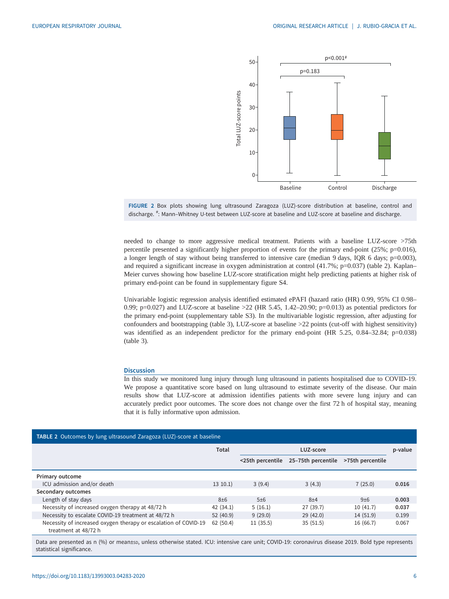<span id="page-5-0"></span>



needed to change to more aggressive medical treatment. Patients with a baseline LUZ-score >75th percentile presented a significantly higher proportion of events for the primary end-point (25%;  $p=0.016$ ), a longer length of stay without being transferred to intensive care (median 9 days, IQR 6 days;  $p=0.003$ ), and required a significant increase in oxygen administration at control (41.7%; p=0.037) (table 2). Kaplan– Meier curves showing how baseline LUZ-score stratification might help predicting patients at higher risk of primary end-point can be found in [supplementary figure S4.](http://erj.ersjournals.com/lookup/doi/10.1183/13993003.04283-2020.figures-only#fig-data-supplementary-materials)

Univariable logistic regression analysis identified estimated ePAFI (hazard ratio (HR) 0.99, 95% CI 0.98– 0.99; p=0.027) and LUZ-score at baseline >22 (HR 5.45, 1.42–20.90; p=0.013) as potential predictors for the primary end-point ([supplementary table S3](http://erj.ersjournals.com/lookup/doi/10.1183/13993003.04283-2020.figures-only#fig-data-supplementary-materials)). In the multivariable logistic regression, after adjusting for confounders and bootstrapping [\(table 3\)](#page-6-0), LUZ-score at baseline >22 points (cut-off with highest sensitivity) was identified as an independent predictor for the primary end-point (HR 5.25, 0.84–32.84; p=0.038) [\(table 3\)](#page-6-0).

## **Discussion**

In this study we monitored lung injury through lung ultrasound in patients hospitalised due to COVID-19. We propose a quantitative score based on lung ultrasound to estimate severity of the disease. Our main results show that LUZ-score at admission identifies patients with more severe lung injury and can accurately predict poor outcomes. The score does not change over the first 72 h of hospital stay, meaning that it is fully informative upon admission.

| <b>TABLE 2</b> Outcomes by lung ultrasound Zaragoza (LUZ)-score at baseline             |          |                  |                    |                  |         |  |
|-----------------------------------------------------------------------------------------|----------|------------------|--------------------|------------------|---------|--|
|                                                                                         | Total    | LUZ-score        |                    |                  | p-value |  |
|                                                                                         |          | <25th percentile | 25-75th percentile | >75th percentile |         |  |
| Primary outcome                                                                         |          |                  |                    |                  |         |  |
| ICU admission and/or death                                                              | 13 10.1  | 3(9.4)           | 3(4.3)             | 7(25.0)          | 0.016   |  |
| Secondary outcomes                                                                      |          |                  |                    |                  |         |  |
| Length of stay days                                                                     | 8±6      | 5±6              | $8 + 4$            | 9±6              | 0.003   |  |
| Necessity of increased oxygen therapy at 48/72 h                                        | 42(34.1) | 5(16.1)          | 27 (39.7)          | 10(41.7)         | 0.037   |  |
| Necessity to escalate COVID-19 treatment at 48/72 h                                     | 52(40.9) | 9(29.0)          | 29(42.0)           | 14(51.9)         | 0.199   |  |
| Necessity of increased oxygen therapy or escalation of COVID-19<br>treatment at 48/72 h | 62(50.4) | 11(35.5)         | 35(51.5)           | 16 (66.7)        | 0.067   |  |

Data are presented as n (%) or mean±sp, unless otherwise stated. ICU: intensive care unit; COVID-19: coronavirus disease 2019. Bold type represents statistical significance.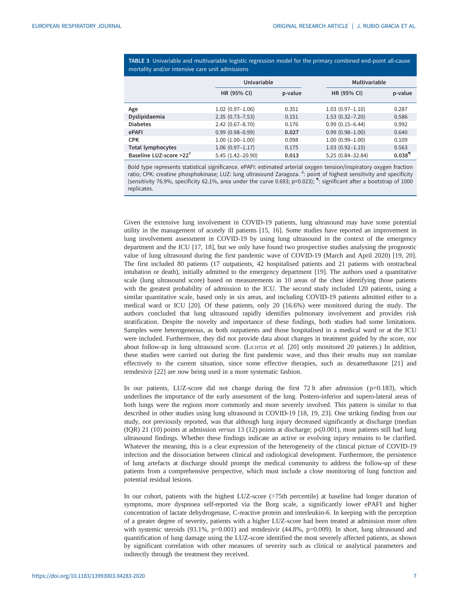<span id="page-6-0"></span>TABLE 3 Univariable and multivariable logistic regression model for the primary combined end-point all-cause mortality and/or intensive care unit admissions

|                                     |                      | Univariable |                     | Multivariable        |
|-------------------------------------|----------------------|-------------|---------------------|----------------------|
|                                     | HR (95% CI)          | p-value     | HR (95% CI)         | p-value              |
| Age                                 | $1.02(0.97 - 1.06)$  | 0.351       | $1.03(0.97 - 1.10)$ | 0.287                |
| Dyslipidaemia                       | $2.35(0.73 - 7.53)$  | 0.151       | $1.53(0.32 - 7.20)$ | 0.586                |
| <b>Diabetes</b>                     | $2.42(0.67 - 8.70)$  | 0.176       | $0.99(0.15 - 6.44)$ | 0.992                |
| ePAFI                               | $0.99(0.98 - 0.99)$  | 0.027       | $0.99(0.98 - 1.00)$ | 0.640                |
| <b>CPK</b>                          | $1.00(1.00-1.00)$    | 0.098       | $1.00(0.99 - 1.00)$ | 0.109                |
| <b>Total lymphocytes</b>            | $1.06(0.97 - 1.17)$  | 0.175       | $1.03(0.92 - 1.15)$ | 0.563                |
| Baseline LUZ-score >22 <sup>#</sup> | $5.45(1.42 - 20.90)$ | 0.013       | 5.25 (0.84-32.84)   | $0.038$ <sup>9</sup> |

Bold type represents statistical significance. ePAFI: estimated arterial oxygen tension/inspiratory oxygen fraction ratio; CPK: creatine phosphokinase; LUZ: lung ultrasound Zaragoza. #: point of highest sensitivity and specificity (sensitivity 76.9%, specificity 62.1%, area under the curve 0.693; p=0.023); ¶ : significant after a bootstrap of 1000 replicates.

Given the extensive lung involvement in COVID-19 patients, lung ultrasound may have some potential utility in the management of acutely ill patients [[15, 16\]](#page-8-0). Some studies have reported an improvement in lung involvement assessment in COVID-19 by using lung ultrasound in the context of the emergency department and the ICU [[17, 18\]](#page-8-0), but we only have found two prospective studies analysing the prognostic value of lung ultrasound during the first pandemic wave of COVID-19 (March and April 2020) [\[19](#page-8-0), [20\]](#page-8-0). The first included 80 patients (17 outpatients, 42 hospitalised patients and 21 patients with orotracheal intubation or death), initially admitted to the emergency department [\[19](#page-8-0)]. The authors used a quantitative scale (lung ultrasound score) based on measurements in 10 areas of the chest identifying those patients with the greatest probability of admission to the ICU. The second study included 120 patients, using a similar quantitative scale, based only in six areas, and including COVID-19 patients admitted either to a medical ward or ICU [\[20](#page-8-0)]. Of these patients, only 20 (16.6%) were monitored during the study. The authors concluded that lung ultrasound rapidly identifies pulmonary involvement and provides risk stratification. Despite the novelty and importance of these findings, both studies had some limitations. Samples were heterogeneous, as both outpatients and those hospitalised in a medical ward or at the ICU were included. Furthermore, they did not provide data about changes in treatment guided by the score, nor about follow-up in lung ultrasound score. (LICHTER et al. [[20\]](#page-8-0) only monitored 20 patients.) In addition, these studies were carried out during the first pandemic wave, and thus their results may not translate effectively to the current situation, since some effective therapies, such as dexamethasone [[21\]](#page-8-0) and remdesivir [[22\]](#page-8-0) are now being used in a more systematic fashion.

In our patients, LUZ-score did not change during the first  $72 h$  after admission ( $p=0.183$ ), which underlines the importance of the early assessment of the lung. Postero-inferior and supero-lateral areas of both lungs were the regions more commonly and more severely involved. This pattern is similar to that described in other studies using lung ultrasound in COVID-19 [\[18](#page-8-0), [19](#page-8-0), [23\]](#page-8-0). One striking finding from our study, not previously reported, was that although lung injury decreased significantly at discharge (median (IQR) 21 (10) points at admission versus 13 (12) points at discharge;  $p \le 0.001$ ), most patients still had lung ultrasound findings. Whether these findings indicate an active or evolving injury remains to be clarified. Whatever the meaning, this is a clear expression of the heterogeneity of the clinical picture of COVID-19 infection and the dissociation between clinical and radiological development. Furthermore, the persistence of lung artefacts at discharge should prompt the medical community to address the follow-up of these patients from a comprehensive perspective, which must include a close monitoring of lung function and potential residual lesions.

In our cohort, patients with the highest LUZ-score (>75th percentile) at baseline had longer duration of symptoms, more dyspnoea self-reported via the Borg scale, a significantly lower ePAFI and higher concentration of lactate dehydrogenase, C-reactive protein and interleukin-6. In keeping with the perception of a greater degree of severity, patients with a higher LUZ-score had been treated at admission more often with systemic steroids (93.1%, p=0.001) and remdesivir (44.8%, p=0.009). In short, lung ultrasound and quantification of lung damage using the LUZ-score identified the most severely affected patients, as shown by significant correlation with other measures of severity such as clinical or analytical parameters and indirectly through the treatment they received.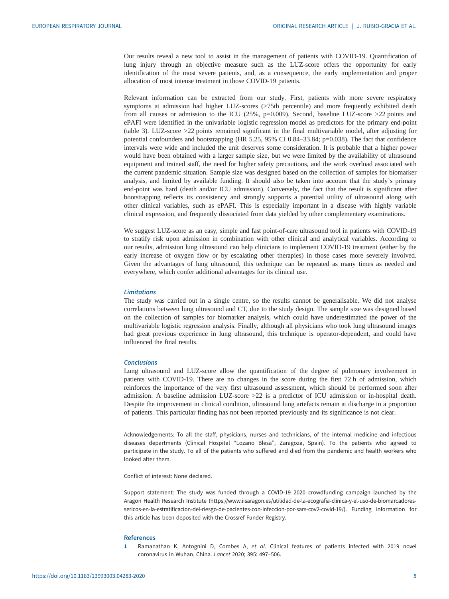<span id="page-7-0"></span>Our results reveal a new tool to assist in the management of patients with COVID-19. Quantification of lung injury through an objective measure such as the LUZ-score offers the opportunity for early identification of the most severe patients, and, as a consequence, the early implementation and proper allocation of most intense treatment in those COVID-19 patients.

Relevant information can be extracted from our study. First, patients with more severe respiratory symptoms at admission had higher LUZ-scores (>75th percentile) and more frequently exhibited death from all causes or admission to the ICU (25%,  $p=0.009$ ). Second, baseline LUZ-score >22 points and ePAFI were identified in the univariable logistic regression model as predictors for the primary end-point [\(table 3\)](#page-6-0). LUZ-score >22 points remained significant in the final multivariable model, after adjusting for potential confounders and bootstrapping (HR 5.25, 95% CI 0.84–33.84; p=0.038). The fact that confidence intervals were wide and included the unit deserves some consideration. It is probable that a higher power would have been obtained with a larger sample size, but we were limited by the availability of ultrasound equipment and trained staff, the need for higher safety precautions, and the work overload associated with the current pandemic situation. Sample size was designed based on the collection of samples for biomarker analysis, and limited by available funding. It should also be taken into account that the study's primary end-point was hard (death and/or ICU admission). Conversely, the fact that the result is significant after bootstrapping reflects its consistency and strongly supports a potential utility of ultrasound along with other clinical variables, such as ePAFI. This is especially important in a disease with highly variable clinical expression, and frequently dissociated from data yielded by other complementary examinations.

We suggest LUZ-score as an easy, simple and fast point-of-care ultrasound tool in patients with COVID-19 to stratify risk upon admission in combination with other clinical and analytical variables. According to our results, admission lung ultrasound can help clinicians to implement COVID-19 treatment (either by the early increase of oxygen flow or by escalating other therapies) in those cases more severely involved. Given the advantages of lung ultrasound, this technique can be repeated as many times as needed and everywhere, which confer additional advantages for its clinical use.

# Limitations

The study was carried out in a single centre, so the results cannot be generalisable. We did not analyse correlations between lung ultrasound and CT, due to the study design. The sample size was designed based on the collection of samples for biomarker analysis, which could have underestimated the power of the multivariable logistic regression analysis. Finally, although all physicians who took lung ultrasound images had great previous experience in lung ultrasound, this technique is operator-dependent, and could have influenced the final results.

#### Conclusions

Lung ultrasound and LUZ-score allow the quantification of the degree of pulmonary involvement in patients with COVID-19. There are no changes in the score during the first 72 h of admission, which reinforces the importance of the very first ultrasound assessment, which should be performed soon after admission. A baseline admission LUZ-score >22 is a predictor of ICU admission or in-hospital death. Despite the improvement in clinical condition, ultrasound lung artefacts remain at discharge in a proportion of patients. This particular finding has not been reported previously and its significance is not clear.

Acknowledgements: To all the staff, physicians, nurses and technicians, of the internal medicine and infectious diseases departments (Clinical Hospital "Lozano Blesa", Zaragoza, Spain). To the patients who agreed to participate in the study. To all of the patients who suffered and died from the pandemic and health workers who looked after them.

Conflict of interest: None declared.

Support statement: The study was funded through a COVID-19 2020 crowdfunding campaign launched by the Aragon Health Research Institute [\(https://www.iisaragon.es/utilidad-de-la-ecografia-clinica-y-el-uso-de-biomarcadores](https://www.iisaragon.es/utilidad-de-la-ecografia-clinica-y-el-uso-de-biomarcadores-sericos-en-la-estratificacion-del-riesgo-de-pacientes-con-infeccion-por-sars-cov2-covid-19/)[sericos-en-la-estratificacion-del-riesgo-de-pacientes-con-infeccion-por-sars-cov2-covid-19/](https://www.iisaragon.es/utilidad-de-la-ecografia-clinica-y-el-uso-de-biomarcadores-sericos-en-la-estratificacion-del-riesgo-de-pacientes-con-infeccion-por-sars-cov2-covid-19/)). Funding information for this article has been deposited with the [Crossref Funder Registry.](https://www.crossref.org/services/funder-registry/)

#### References

1 Ramanathan K, Antognini D, Combes A, et al. Clinical features of patients infected with 2019 novel coronavirus in Wuhan, China. Lancet 2020; 395: 497–506.